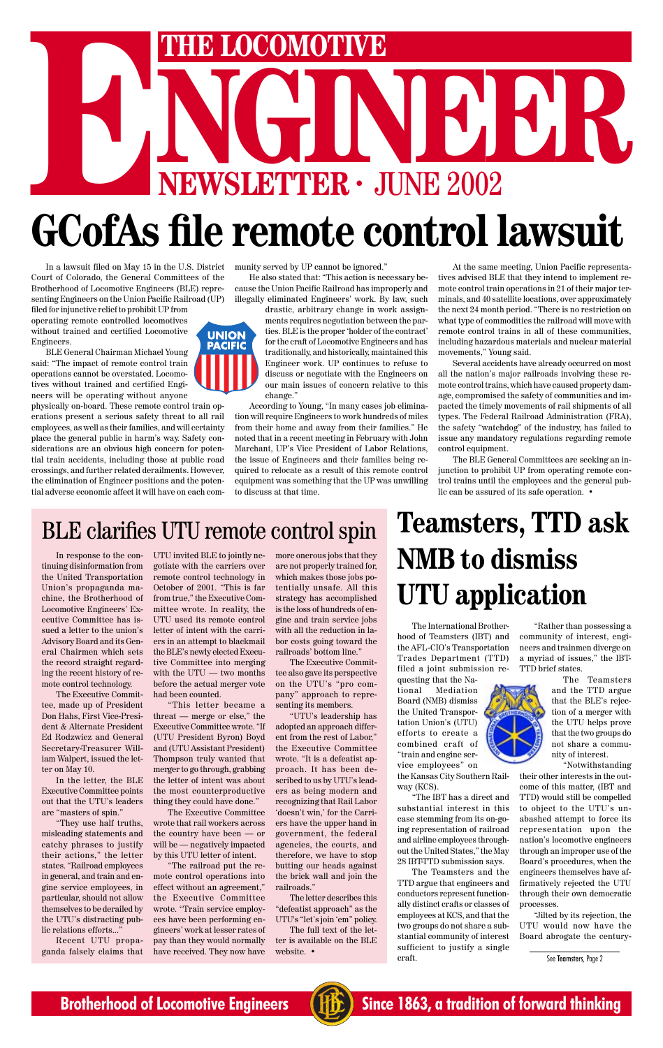# THE LOCOMOTIVE<br>
NEWSLETTER · JUNE 2002 **ENEXAGE AND REWSLETTER ·**<br>**GCofAs file remote control GCofAs file remote control lawsuit**

In a lawsuit filed on May 15 in the U.S. District Court of Colorado, the General Committees of the Brotherhood of Locomotive Engineers (BLE) representing Engineers on the Union Pacific Railroad (UP)

filed for injunctive relief to prohibit UP from operating remote controlled locomotives without trained and certified Locomotive Engineers.

BLE General Chairman Michael Young said: "The impact of remote control train operations cannot be overstated. Locomotives without trained and certified Engineers will be operating without anyone

physically on-board. These remote control train operations present a serious safety threat to all rail employees, as well as their families, and will certainty place the general public in harm's way. Safety considerations are an obvious high concern for potential train accidents, including those at public road crossings, and further related derailments. However, the elimination of Engineer positions and the potential adverse economic affect it will have on each community served by UP cannot be ignored."

He also stated that: "This action is necessary because the Union Pacific Railroad has improperly and illegally eliminated Engineers' work. By law, such

> drastic, arbitrary change in work assignments requires negotiation between the parties. BLE is the proper 'holder of the contract' for the craft of Locomotive Engineers and has traditionally, and historically, maintained this Engineer work. UP continues to refuse to discuss or negotiate with the Engineers on our main issues of concern relative to this change."

According to Young, "In many cases job elimination will require Engineers to work hundreds of miles from their home and away from their families." He noted that in a recent meeting in February with John Marchant, UP's Vice President of Labor Relations, the issue of Engineers and their families being required to relocate as a result of this remote control equipment was something that the UP was unwilling to discuss at that time.

At the same meeting, Union Pacific representatives advised BLE that they intend to implement remote control train operations in 21 of their major terminals, and 40 satellite locations, over approximately the next 24 month period. "There is no restriction on what type of commodities the railroad will move with remote control trains in all of these communities, including hazardous materials and nuclear material movements," Young said.

Several accidents have already occurred on most all the nation's major railroads involving these remote control trains, which have caused property damage, compromised the safety of communities and impacted the timely movements of rail shipments of all types. The Federal Railroad Administration (FRA), the safety "watchdog" of the industry, has failed to issue any mandatory regulations regarding remote control equipment.

The BLE General Committees are seeking an injunction to prohibit UP from operating remote control trains until the employees and the general public can be assured of its safe operation. •

In response to the continuing disinformation from the United Transportation Union's propaganda machine, the Brotherhood of Locomotive Engineers' Executive Committee has issued a letter to the union's Advisory Board and its General Chairmen which sets the record straight regarding the recent history of remote control technology.

The Executive Committee, made up of President Don Hahs, First Vice-President & Alternate President Ed Rodzwicz and General Secretary-Treasurer William Walpert, issued the letter on May 10.

In the letter, the BLE Executive Committee points out that the UTU's leaders are "masters of spin."

"They use half truths, misleading statements and catchy phrases to justify their actions," the letter states. "Railroad employees in general, and train and engine service employees, in particular, should not allow themselves to be derailed by the UTU's distracting public relations efforts..."

Recent UTU propaganda falsely claims that UTU invited BLE to jointly negotiate with the carriers over remote control technology in October of 2001. "This is far from true," the Executive Committee wrote. In reality, the UTU used its remote control letter of intent with the carriers in an attempt to blackmail the BLE's newly elected Executive Committee into merging with the UTU — two months before the actual merger vote had been counted.

"This letter became a threat — merge or else," the Executive Committee wrote. "If (UTU President Byron) Boyd and (UTU Assistant President) Thompson truly wanted that merger to go through, grabbing the letter of intent was about the most counterproductive thing they could have done."

The Executive Committee wrote that rail workers across the country have been — or will be — negatively impacted by this UTU letter of intent.

"The railroad put the remote control operations into effect without an agreement," the Executive Committee wrote. "Train service employees have been performing engineers' work at lesser rates of pay than they would normally have received. They now have more onerous jobs that they are not properly trained for, which makes those jobs potentially unsafe. All this strategy has accomplished is the loss of hundreds of engine and train service jobs with all the reduction in labor costs going toward the railroads' bottom line."

The Executive Committee also gave its perspective on the UTU's "pro company" approach to representing its members.

"UTU's leadership has adopted an approach different from the rest of Labor," the Executive Committee wrote. "It is a defeatist approach. It has been described to us by UTU's leaders as being modern and recognizing that Rail Labor 'doesn't win,' for the Carriers have the upper hand in government, the federal agencies, the courts, and therefore, we have to stop butting our heads against the brick wall and join the railroads."

The letter describes this "defeatist approach" as the UTU's "let's join 'em" policy. The full text of the letter is available on the BLE website. •

# BLE clarifies UTU remote control spin **Teamsters, TTD ask**

# **NMB to dismiss UTU application**

The International Brotherhood of Teamsters (IBT) and the AFL-CIO's Transportation Trades Department (TTD) filed a joint submission re-

questing that the National Mediation Board (NMB) dismiss the United Transportation Union's (UTU) efforts to create a combined craft of "train and engine service employees" on

the Kansas City Southern Railway (KCS).

"The IBT has a direct and substantial interest in this case stemming from its on-going representation of railroad and airline employees throughout the United States," the May 28 IBT-TTD submission says.

The Teamsters and the TTD argue that engineers and conductors represent functionally distinct crafts or classes of employees at KCS, and that the two groups do not share a substantial community of interest sufficient to justify a single craft.

"Rather than possessing a community of interest, engineers and trainmen diverge on a myriad of issues," the IBT-TTD brief states.

> The Teamsters and the TTD argue that the BLE's rejection of a merger with the UTU helps prove that the two groups do not share a community of interest.

"Notwithstanding



their other interests in the outcome of this matter, (IBT and TTD) would still be compelled to object to the UTU's unabashed attempt to force its representation upon the nation's locomotive engineers through an improper use of the Board's procedures, when the engineers themselves have affirmatively rejected the UTU through their own democratic processes.

"Jilted by its rejection, the UTU would now have the Board abrogate the century-

See Teamsters, Page 2

**Brotherhood of Locomotive Engineers (FIFE) Since 1863, a tradition of forward thinking**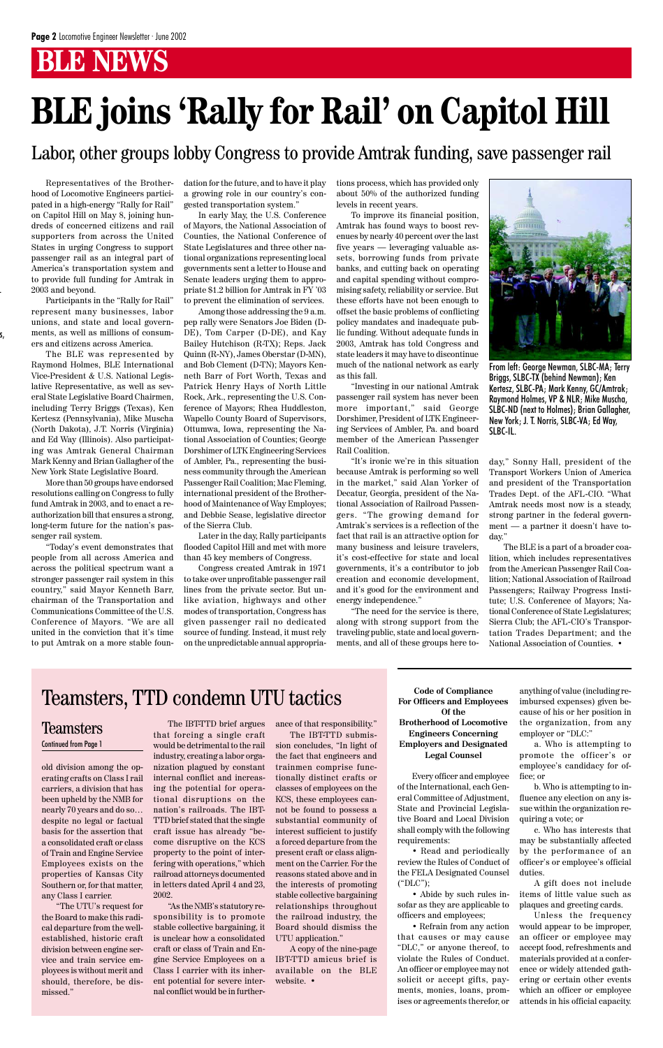Representatives of the Brotherhood of Locomotive Engineers participated in a high-energy "Rally for Rail" on Capitol Hill on May 8, joining hundreds of concerned citizens and rail supporters from across the United States in urging Congress to support passenger rail as an integral part of America's transportation system and to provide full funding for Amtrak in 2003 and beyond.

Participants in the "Rally for Rail" represent many businesses, labor unions, and state and local governments, as well as millions of consumers and citizens across America.

The BLE was represented by Raymond Holmes, BLE International Vice-President & U.S. National Legislative Representative, as well as several State Legislative Board Chairmen, including Terry Briggs (Texas), Ken Kertesz (Pennsylvania), Mike Muscha (North Dakota), J.T. Norris (Virginia) and Ed Way (Illinois). Also participating was Amtrak General Chairman Mark Kenny and Brian Gallagher of the New York State Legislative Board.

More than 50 groups have endorsed resolutions calling on Congress to fully fund Amtrak in 2003, and to enact a reauthorization bill that ensures a strong, long-term future for the nation's passenger rail system.

"Today's event demonstrates that people from all across America and across the political spectrum want a stronger passenger rail system in this country," said Mayor Kenneth Barr, chairman of the Transportation and Communications Committee of the U.S. Conference of Mayors. "We are all united in the conviction that it's time to put Amtrak on a more stable foundation for the future, and to have it play a growing role in our country's congested transportation system."

In early May, the U.S. Conference of Mayors, the National Association of Counties, the National Conference of State Legislatures and three other national organizations representing local governments sent a letter to House and Senate leaders urging them to appropriate \$1.2 billion for Amtrak in FY '03 to prevent the elimination of services.

Among those addressing the 9 a.m. pep rally were Senators Joe Biden (D-DE), Tom Carper (D-DE), and Kay Bailey Hutchison (R-TX); Reps. Jack Quinn (R-NY), James Oberstar (D-MN), and Bob Clement (D-TN); Mayors Kenneth Barr of Fort Worth, Texas and Patrick Henry Hays of North Little Rock, Ark., representing the U.S. Conference of Mayors; Rhea Huddleston, Wapello County Board of Supervisors, Ottumwa, Iowa, representing the National Association of Counties; George Dorshimer of LTK Engineering Services of Ambler, Pa., representing the business community through the American Passenger Rail Coalition; Mac Fleming, international president of the Brotherhood of Maintenance of Way Employes; and Debbie Sease, legislative director of the Sierra Club.

Later in the day, Rally participants flooded Capitol Hill and met with more than 45 key members of Congress.

Congress created Amtrak in 1971 to take over unprofitable passenger rail lines from the private sector. But unlike aviation, highways and other modes of transportation, Congress has given passenger rail no dedicated source of funding. Instead, it must rely on the unpredictable annual appropria-

tions process, which has provided only about 50% of the authorized funding levels in recent years.

To improve its financial position, Amtrak has found ways to boost revenues by nearly 40 percent over the last five years — leveraging valuable assets, borrowing funds from private banks, and cutting back on operating and capital spending without compromising safety, reliability or service. But these efforts have not been enough to offset the basic problems of conflicting policy mandates and inadequate public funding. Without adequate funds in 2003, Amtrak has told Congress and state leaders it may have to discontinue much of the national network as early as this fall.

### **Teamsters** Continued from Page 1

"Investing in our national Amtrak passenger rail system has never been more important," said George Dorshimer, President of LTK Engineering Services of Ambler, Pa. and board member of the American Passenger Rail Coalition.

"It's ironic we're in this situation because Amtrak is performing so well in the market," said Alan Yorker of Decatur, Georgia, president of the National Association of Railroad Passengers. "The growing demand for Amtrak's services is a reflection of the fact that rail is an attractive option for many business and leisure travelers, it's cost-effective for state and local governments, it's a contributor to job creation and economic development, and it's good for the environment and energy independence."

"The need for the service is there, along with strong support from the traveling public, state and local governments, and all of these groups here today," Sonny Hall, president of the Transport Workers Union of America and president of the Transportation Trades Dept. of the AFL-CIO. "What Amtrak needs most now is a steady, strong partner in the federal government — a partner it doesn't have today."

The BLE is a part of a broader coalition, which includes representatives from the American Passenger Rail Coalition; National Association of Railroad Passengers; Railway Progress Institute; U.S. Conference of Mayors; National Conference of State Legislatures; Sierra Club; the AFL-CIO's Transportation Trades Department; and the National Association of Counties. •

# **BLE joins 'Rally for Rail' on Capitol Hill**

Labor, other groups lobby Congress to provide Amtrak funding, save passenger rail



From left: George Newman, SLBC-MA; Terry Briggs, SLBC-TX (behind Newman); Ken Kertesz, SLBC-PA; Mark Kenny, GC/Amtrak; Raymond Holmes, VP & NLR; Mike Muscha, SLBC-ND (next to Holmes); Brian Gallagher, New York; J. T. Norris, SLBC-VA; Ed Way, SLBC-IL.

old division among the operating crafts on Class I rail carriers, a division that has been upheld by the NMB for nearly 70 years and do so… despite no legal or factual basis for the assertion that a consolidated craft or class of Train and Engine Service Employees exists on the properties of Kansas City Southern or, for that matter, any Class I carrier.

"The UTU's request for the Board to make this radical departure from the wellestablished, historic craft division between engine service and train service employees is without merit and should, therefore, be dismissed."

The IBT-TTD brief argues

that forcing a single craft would be detrimental to the rail industry, creating a labor organization plagued by constant

internal conflict and increasing the potential for operational disruptions on the nation's railroads. The IBT-TTD brief stated that the single craft issue has already "become disruptive on the KCS property to the point of interfering with operations," which railroad attorneys documented in letters dated April 4 and 23, 2002.

"As the NMB's statutory responsibility is to promote stable collective bargaining, it is unclear how a consolidated craft or class of Train and Engine Service Employees on a Class I carrier with its inherent potential for severe internal conflict would be in furtherance of that responsibility." The IBT-TTD submission concludes, "In light of the fact that engineers and trainmen comprise func-

tionally distinct crafts or classes of employees on the KCS, these employees cannot be found to possess a substantial community of interest sufficient to justify a forced departure from the present craft or class alignment on the Carrier. For the reasons stated above and in the interests of promoting stable collective bargaining relationships throughout the railroad industry, the Board should dismiss the UTU application."

A copy of the nine-page IBT-TTD amicus brief is available on the BLE website. •

### Teamsters, TTD condemn UTU tactics

**Code of Compliance For Officers and Employees Of the Brotherhood of Locomotive Engineers Concerning Employers and Designated Legal Counsel**

Every officer and employee of the International, each General Committee of Adjustment, State and Provincial Legislative Board and Local Division shall comply with the following requirements:

• Read and periodically review the Rules of Conduct of the FELA Designated Counsel ("DLC");

• Abide by such rules insofar as they are applicable to officers and employees;

• Refrain from any action that causes or may cause "DLC," or anyone thereof, to violate the Rules of Conduct. An officer or employee may not solicit or accept gifts, payments, monies, loans, promises or agreements therefor, or

anything of value (including reimbursed expenses) given because of his or her position in the organization, from any employer or "DLC:"

a. Who is attempting to promote the officer's or employee's candidacy for of-

fice; or

b. Who is attempting to influence any election on any issue within the organization requiring a vote; or

c. Who has interests that may be substantially affected by the performance of an officer's or employee's official duties.

A gift does not include items of little value such as plaques and greeting cards.

Unless the frequency would appear to be improper, an officer or employee may accept food, refreshments and materials provided at a conference or widely attended gathering or certain other events which an officer or employee attends in his official capacity.

-

s,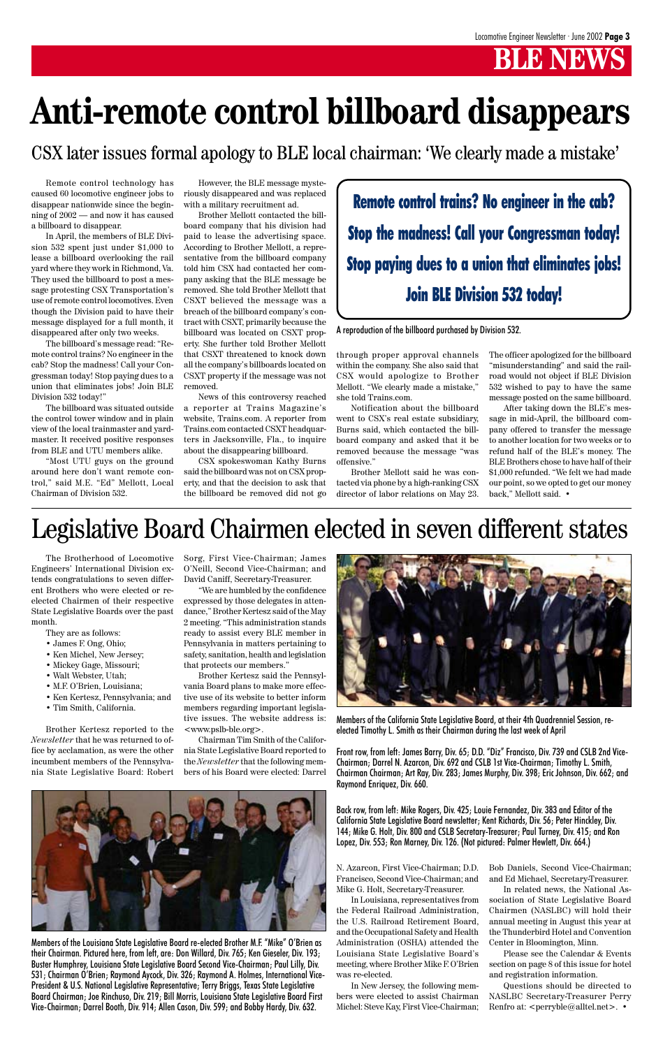Remote control technology has caused 60 locomotive engineer jobs to disappear nationwide since the beginning of 2002 — and now it has caused a billboard to disappear.

In April, the members of BLE Division 532 spent just under \$1,000 to lease a billboard overlooking the rail yard where they work in Richmond, Va. They used the billboard to post a message protesting CSX Transportation's use of remote control locomotives. Even though the Division paid to have their message displayed for a full month, it disappeared after only two weeks.

The billboard's message read: "Remote control trains? No engineer in the cab? Stop the madness! Call your Congressman today! Stop paying dues to a union that eliminates jobs! Join BLE Division 532 today!"

The billboard was situated outside the control tower window and in plain view of the local trainmaster and yardmaster. It received positive responses from BLE and UTU members alike.

"Most UTU guys on the ground around here don't want remote control," said M.E. "Ed" Mellott, Local Chairman of Division 532.

However, the BLE message mysteriously disappeared and was replaced with a military recruitment ad.

Brother Mellott contacted the billboard company that his division had paid to lease the advertising space. According to Brother Mellott, a representative from the billboard company told him CSX had contacted her company asking that the BLE message be removed. She told Brother Mellott that CSXT believed the message was a breach of the billboard company's contract with CSXT, primarily because the billboard was located on CSXT property. She further told Brother Mellott that CSXT threatened to knock down all the company's billboards located on CSXT property if the message was not removed.

News of this controversy reached a reporter at Trains Magazine's website, Trains.com. A reporter from Trains.com contacted CSXT headquarters in Jacksonville, Fla., to inquire about the disappearing billboard.

CSX spokeswoman Kathy Burns said the billboard was not on CSX property, and that the decision to ask that the billboard be removed did not go through proper approval channels within the company. She also said that CSX would apologize to Brother Mellott. "We clearly made a mistake," she told Trains.com.

Notification about the billboard went to CSX's real estate subsidiary, Burns said, which contacted the billboard company and asked that it be removed because the message "was offensive."

Brother Mellott said he was contacted via phone by a high-ranking CSX director of labor relations on May 23. The officer apologized for the billboard "misunderstanding" and said the railroad would not object if BLE Division 532 wished to pay to have the same message posted on the same billboard.

After taking down the BLE's message in mid-April, the billboard company offered to transfer the message to another location for two weeks or to refund half of the BLE's money. The BLE Brothers chose to have half of their \$1,000 refunded. "We felt we had made our point, so we opted to get our money back," Mellott said. •

Remote control trains? No engineer in the cab? Stop the madness! Call your Congressman today! Stop paying dues to a union that eliminates jobs! Join BLE Division 532 today!

# **Anti-remote control billboard disappears**



Members of the California State Legislative Board, at their 4th Quadrenniel Session, reelected Timothy L. Smith as their Chairman during the last week of April

Questions should be directed to NASLBC Secretary-Treasurer Perry Renfro at: <perryble@alltel.net>. •

Front row, from left: James Barry, Div. 65; D.D. "Diz" Francisco, Div. 739 and CSLB 2nd Vice-Chairman; Darrel N. Azarcon, Div. 692 and CSLB 1st Vice-Chairman; Timothy L. Smith, Chairman Chairman; Art Ray, Div. 283; James Murphy, Div. 398; Eric Johnson, Div. 662; and Raymond Enriquez, Div. 660.



Back row, from left: Mike Rogers, Div. 425; Louie Fernandez, Div. 383 and Editor of the California State Legislative Board newsletter; Kent Richards, Div. 56; Peter Hinckley, Div. 144; Mike G. Holt, Div. 800 and CSLB Secretary-Treasurer; Paul Turney, Div. 415; and Ron Lopez, Div. 553; Ron Marney, Div. 126. (Not pictured: Palmer Hewlett, Div. 664.)

The Brotherhood of Locomotive Engineers' International Division extends congratulations to seven different Brothers who were elected or reelected Chairmen of their respective State Legislative Boards over the past month.

They are as follows:

- James F. Ong, Ohio;
- Ken Michel, New Jersey;
- Mickey Gage, Missouri;
- Walt Webster, Utah;
- M.F. O'Brien, Louisiana;
- Ken Kertesz, Pennsylvania; and
- Tim Smith, California.

Sorg, First Vice-Chairman; James O'Neill, Second Vice-Chairman; and David Caniff, Secretary-Treasurer.

"We are humbled by the confidence expressed by those delegates in attendance," Brother Kertesz said of the May 2 meeting. "This administration stands ready to assist every BLE member in Pennsylvania in matters pertaining to safety, sanitation, health and legislation that protects our members."

Brother Kertesz reported to the *Newsletter* that he was returned to office by acclamation, as were the other incumbent members of the Pennsylvania State Legislative Board: Robert bers of his Board were elected: Darrel <www.pslb-ble.org>. Chairman Tim Smith of the California State Legislative Board reported to the *Newsletter* that the following mem-

Brother Kertesz said the Pennsylvania Board plans to make more effective use of its website to better inform members regarding important legislative issues. The website address is:

Members of the Louisiana State Legislative Board re-elected Brother M.F. "Mike" O'Brien as their Chairman. Pictured here, from left, are: Don Willard, Div. 765; Ken Gieseler, Div. 193; Buster Humphrey, Louisiana State Legislative Board Second Vice-Chairman; Paul Lilly, Div. 531; Chairman O'Brien; Raymond Aycock, Div. 326; Raymond A. Holmes, International Vice-President & U.S. National Legislative Representative; Terry Briggs, Texas State Legislative Board Chairman; Joe Rinchuso, Div. 219; Bill Morris, Louisiana State Legislative Board First Vice-Chairman; Darrel Booth, Div. 914; Allen Cason, Div. 599; and Bobby Hardy, Div. 632.

N. Azarcon, First Vice-Chairman; D.D. Francisco, Second Vice-Chairman; and Mike G. Holt, Secretary-Treasurer.

In Louisiana, representatives from the Federal Railroad Administration, the U.S. Railroad Retirement Board, and the Occupational Safety and Health Administration (OSHA) attended the Louisiana State Legislative Board's meeting, where Brother Mike F. O'Brien was re-elected.

In New Jersey, the following members were elected to assist Chairman Michel: Steve Kay, First Vice-Chairman; Bob Daniels, Second Vice-Chairman; and Ed Michael, Secretary-Treasurer.

In related news, the National Association of State Legislative Board Chairmen (NASLBC) will hold their annual meeting in August this year at the Thunderbird Hotel and Convention Center in Bloomington, Minn.

Please see the Calendar & Events section on page 8 of this issue for hotel and registration information.

### Legislative Board Chairmen elected in seven different states

CSX later issues formal apology to BLE local chairman: 'We clearly made a mistake'

A reproduction of the billboard purchased by Division 532.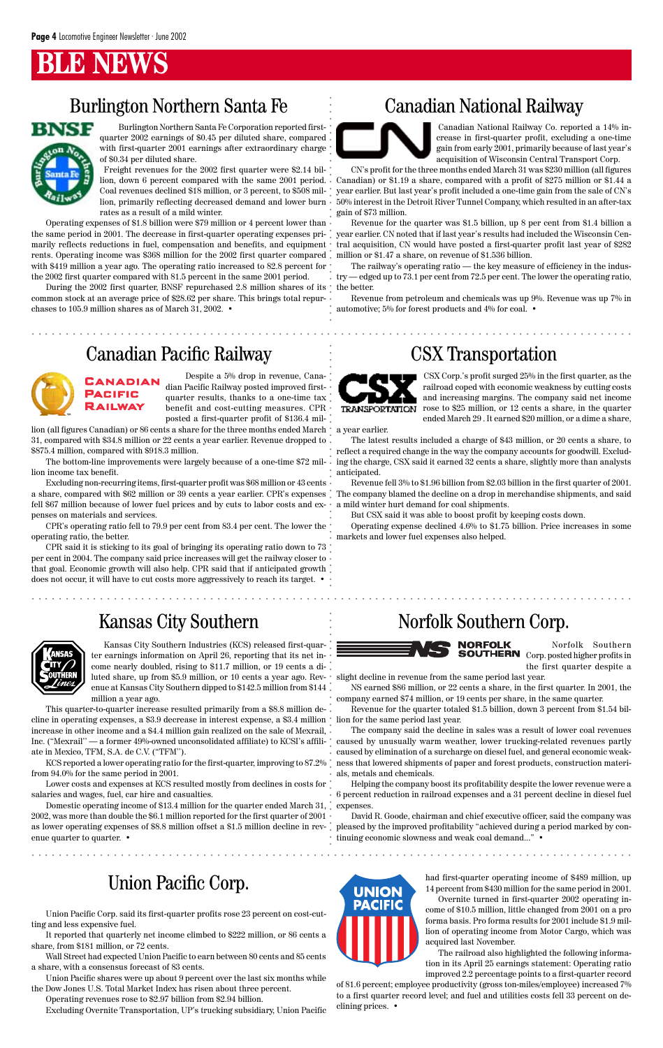### Burlington Northern Santa Fe



aaaaaaaaaaaaaaaaaaaaaaaaaaaaaaaaaaaaaaaaaaaaaaaaaaaaaaaaaaaaaaaaa aaaaaaaaaaaaaaaaaaaaaaa

aaaaaaaaaaaaaaaaaaaaaaaaaaaaaaaaaaaaaaaaaaaaaaaaaaaaaaaaaaaaaaaaa aaaaaaaaaaaaaaaaaaaaaaa

### Canadian National Railway



### Norfolk Southern Corp.



### Union Pacific Corp.

### Kansas City Southern



Burlington Northern Santa Fe Corporation reported firstquarter 2002 earnings of \$0.45 per diluted share, compared with first-quarter 2001 earnings after extraordinary charge of \$0.34 per diluted share.

aaaaaaaaaaaaaaaaaaaaaaaaaaaaaaaaaaaaaaaaaaaaaaaaaaaaaaaaaaaaaaaaa aaaaaaaaaaaaaaaaaaaaaaa aaaaaaaaaaaaaaaaaa aaaaaaaaaaaaaaa aaaaaaaaaaaaaaaaaaaaaaaa aaaaaaaaaaaa aaaaaaaaaaaaaaaaaaaaaaaaaaaaaaaaaa Operating expenses of \$1.8 billion were \$79 million or 4 percent lower than the same period in 2001. The decrease in first-quarter operating expenses primarily reflects reductions in fuel, compensation and benefits, and equipment rents. Operating income was \$368 million for the 2002 first quarter compared with \$419 million a year ago. The operating ratio increased to 82.8 percent for the 2002 first quarter compared with 81.5 percent in the same 2001 period.

Freight revenues for the 2002 first quarter were \$2.14 billion, down 6 percent compared with the same 2001 period. Coal revenues declined \$18 million, or 3 percent, to \$508 million, primarily reflecting decreased demand and lower burn rates as a result of a mild winter.

> Revenue from petroleum and chemicals was up 9%. Revenue was up 7% in automotive; 5% for forest products and 4% for coal.  $\;\bullet\;$

### Canadian Pacific Railway CSX Transportation



During the 2002 first quarter, BNSF repurchased 2.8 million shares of its common stock at an average price of \$28.62 per share. This brings total repurchases to 105.9 million shares as of March 31, 2002. •

Canadian National Railway Co. reported a 14% increase in first-quarter profit, excluding a one-time gain from early 2001, primarily because of last year's acquisition of Wisconsin Central Transport Corp.

CPR said it is sticking to its goal of bringing its operating ratio down to 73 per cent in 2004. The company said price increases will get the railway closer to that goal. Economic growth will also help. CPR said that if anticipated growth does not occur, it will have to cut costs more aggressively to reach its target.  $\bullet$ 

CN's profit for the three months ended March 31 was \$230 million (all figures Canadian) or \$1.19 a share, compared with a profit of \$275 million or \$1.44 a year earlier. But last year's profit included a one-time gain from the sale of CN's 50% interest in the Detroit River Tunnel Company, which resulted in an after-tax gain of \$73 million.

Revenue for the quarter was \$1.5 billion, up 8 per cent from \$1.4 billion a year earlier. CN noted that if last year's results had included the Wisconsin Central acquisition, CN would have posted a first-quarter profit last year of \$282 million or \$1.47 a share, on revenue of \$1.536 billion.

The railway's operating ratio — the key measure of efficiency in the industry — edged up to 73.1 per cent from 72.5 per cent. The lower the operating ratio, the better.

Despite a 5% drop in revenue, Canadian Pacific Railway posted improved firstquarter results, thanks to a one-time tax benefit and cost-cutting measures. CPR posted a first-quarter profit of \$136.4 mil-

lion (all figures Canadian) or 86 cents a share for the three months ended March 31, compared with \$34.8 million or 22 cents a year earlier. Revenue dropped to \$875.4 million, compared with \$918.3 million.

The bottom-line improvements were largely because of a one-time \$72 million income tax benefit.

Excluding non-recurring items, first-quarter profit was \$68 million or 43 cents a share, compared with \$62 million or 39 cents a year earlier. CPR's expenses fell \$67 million because of lower fuel prices and by cuts to labor costs and expenses on materials and services.

CPR's operating ratio fell to 79.9 per cent from 83.4 per cent. The lower the operating ratio, the better.

Lower costs and expenses at KCS resulted mostly from declines in costs for salaries and wages, fuel, car hire and casualties.

Domestic operating income of \$13.4 million for the quarter ended March 31,  $\,$  expenses. as lower operating expenses of \$8.8 million offset a \$1.5 million decline in rev-  $\degree$  pleased by the improved profitability "achieved during a period marked by con-2002, was more than double the \$6.1 million reported for the first quarter of 2001  $\cdot$ enue quarter to quarter. •

CSX Corp.'s profit surged 25% in the first quarter, as the railroad coped with economic weakness by cutting costs and increasing margins. The company said net income rose to \$25 million, or 12 cents a share, in the quarter ended March 29 . It earned \$20 million, or a dime a share,

a year earlier.

The latest results included a charge of \$43 million, or 20 cents a share, to reflect a required change in the way the company accounts for goodwill. Excluding the charge, CSX said it earned 32 cents a share, slightly more than analysts anticipated.

Revenue fell 3% to \$1.96 billion from \$2.03 billion in the first quarter of 2001. The company blamed the decline on a drop in merchandise shipments, and said a mild winter hurt demand for coal shipments.

But CSX said it was able to boost profit by keeping costs down.

Operating expense declined 4.6% to \$1.75 billion. Price increases in some markets and lower fuel expenses also helped.

> Norfolk Southern Corp. posted higher profits in the first quarter despite a

slight decline in revenue from the same period last year.

NS earned \$86 million, or 22 cents a share, in the first quarter. In 2001, the company earned \$74 million, or 19 cents per share, in the same quarter.

Revenue for the quarter totaled \$1.5 billion, down 3 percent from \$1.54 billion for the same period last year.

The company said the decline in sales was a result of lower coal revenues caused by unusually warm weather, lower trucking-related revenues partly caused by elimination of a surcharge on diesel fuel, and general economic weakness that lowered shipments of paper and forest products, construction materi-

als, metals and chemicals.

Helping the company boost its profitability despite the lower revenue were a 6 percent reduction in railroad expenses and a 31 percent decline in diesel fuel

David R. Goode, chairman and chief executive officer, said the company was tinuing economic slowness and weak coal demand..." •

**UNION PACIFIC** 

Union Pacific Corp. said its first-quarter profits rose 23 percent on cost-cutting and less expensive fuel.

It reported that quarterly net income climbed to \$222 million, or 86 cents a share, from \$181 million, or 72 cents.

Wall Street had expected Union Pacific to earn between 80 cents and 85 cents a share, with a consensus forecast of 83 cents.

Union Pacific shares were up about 9 percent over the last six months while the Dow Jones U.S. Total Market Index has risen about three percent.

Operating revenues rose to \$2.97 billion from \$2.94 billion.

Excluding Overnite Transportation, UP's trucking subsidiary, Union Pacific

had first-quarter operating income of \$489 million, up 14 percent from \$430 million for the same period in 2001. Overnite turned in first-quarter 2002 operating income of \$10.5 million, little changed from 2001 on a pro forma basis. Pro forma results for 2001 include \$1.9 million of operating income from Motor Cargo, which was acquired last November.

The railroad also highlighted the following information in its April 25 earnings statement: Operating ratio improved 2.2 percentage points to a first-quarter record

of 81.6 percent; employee productivity (gross ton-miles/employee) increased 7% to a first quarter record level; and fuel and utilities costs fell 33 percent on declining prices. •

Kansas City Southern Industries (KCS) released first-quarter earnings information on April 26, reporting that its net income nearly doubled, rising to \$11.7 million, or 19 cents a diluted share, up from \$5.9 million, or 10 cents a year ago. Revenue at Kansas City Southern dipped to \$142.5 million from \$144 million a year ago.

This quarter-to-quarter increase resulted primarily from a \$8.8 million decline in operating expenses, a \$3.9 decrease in interest expense, a \$3.4 million increase in other income and a \$4.4 million gain realized on the sale of Mexrail, Inc. ("Mexrail'' — a former 49%-owned unconsolidated affiliate) to KCSI's affiliate in Mexico, TFM, S.A. de C.V. ("TFM'').

KCS reported a lower operating ratio for the first-quarter, improving to 87.2%



from 94.0% for the same period in 2001.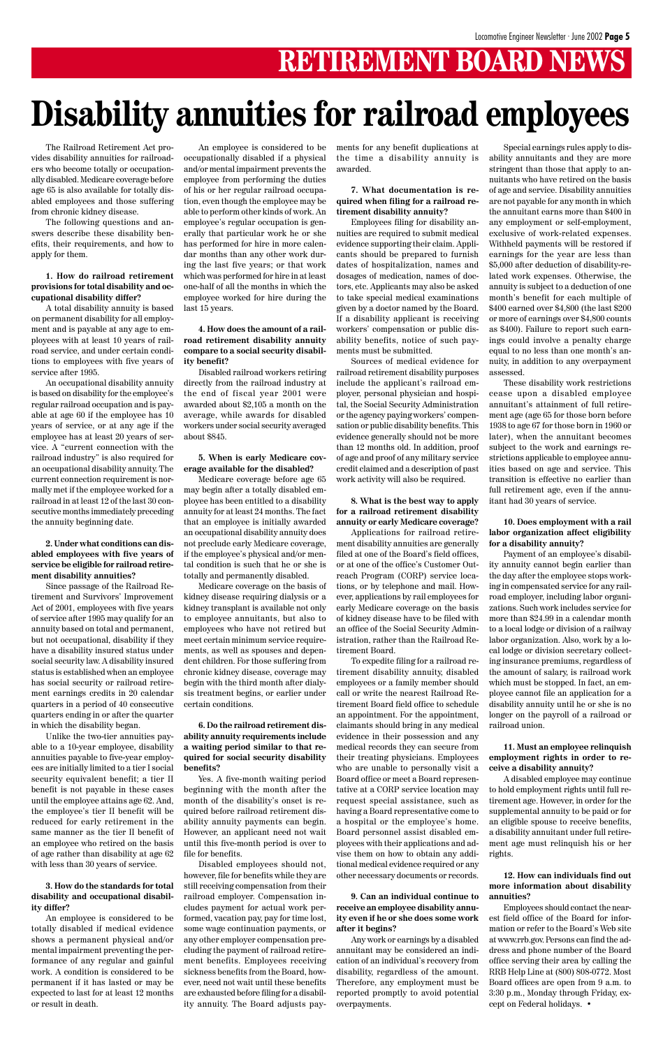# **RETIREMENT BOARD NEWS**

The Railroad Retirement Act provides disability annuities for railroaders who become totally or occupationally disabled. Medicare coverage before age 65 is also available for totally disabled employees and those suffering from chronic kidney disease.

The following questions and answers describe these disability benefits, their requirements, and how to apply for them.

#### **1. How do railroad retirement provisions for total disability and occupational disability differ?**

A total disability annuity is based on permanent disability for all employment and is payable at any age to employees with at least 10 years of railroad service, and under certain conditions to employees with five years of service after 1995.

An occupational disability annuity is based on disability for the employee's regular railroad occupation and is payable at age 60 if the employee has 10 years of service, or at any age if the employee has at least 20 years of service. A "current connection with the railroad industry" is also required for an occupational disability annuity. The current connection requirement is normally met if the employee worked for a railroad in at least 12 of the last 30 consecutive months immediately preceding the annuity beginning date.

#### **2. Under what conditions can disabled employees with five years of service be eligible for railroad retirement disability annuities?**

Since passage of the Railroad Retirement and Survivors' Improvement Act of 2001, employees with five years of service after 1995 may qualify for an annuity based on total and permanent, but not occupational, disability if they have a disability insured status under social security law. A disability insured status is established when an employee has social security or railroad retirement earnings credits in 20 calendar quarters in a period of 40 consecutive quarters ending in or after the quarter in which the disability began.

Unlike the two-tier annuities payable to a 10-year employee, disability annuities payable to five-year employees are initially limited to a tier I social security equivalent benefit; a tier II benefit is not payable in these cases until the employee attains age 62. And, the employee's tier II benefit will be reduced for early retirement in the same manner as the tier II benefit of an employee who retired on the basis of age rather than disability at age 62 with less than 30 years of service.

**3. How do the standards for total disability and occupational disability differ?**

An employee is considered to be totally disabled if medical evidence shows a permanent physical and/or mental impairment preventing the performance of any regular and gainful work. A condition is considered to be permanent if it has lasted or may be expected to last for at least 12 months or result in death.

An employee is considered to be occupationally disabled if a physical and/or mental impairment prevents the employee from performing the duties of his or her regular railroad occupation, even though the employee may be able to perform other kinds of work. An employee's regular occupation is generally that particular work he or she has performed for hire in more calendar months than any other work during the last five years; or that work which was performed for hire in at least one-half of all the months in which the employee worked for hire during the last 15 years.

#### **4. How does the amount of a railroad retirement disability annuity compare to a social security disability benefit?**

Disabled railroad workers retiring directly from the railroad industry at the end of fiscal year 2001 were awarded about \$2,105 a month on the average, while awards for disabled workers under social security averaged about \$845.

#### **5. When is early Medicare coverage available for the disabled?**

Medicare coverage before age 65 may begin after a totally disabled employee has been entitled to a disability annuity for at least 24 months. The fact that an employee is initially awarded an occupational disability annuity does not preclude early Medicare coverage, if the employee's physical and/or mental condition is such that he or she is totally and permanently disabled.

Medicare coverage on the basis of kidney disease requiring dialysis or a kidney transplant is available not only to employee annuitants, but also to employees who have not retired but meet certain minimum service requirements, as well as spouses and dependent children. For those suffering from chronic kidney disease, coverage may begin with the third month after dialysis treatment begins, or earlier under certain conditions.

**6. Do the railroad retirement disability annuity requirements include a waiting period similar to that required for social security disability benefits?**

Yes. A five-month waiting period beginning with the month after the month of the disability's onset is required before railroad retirement disability annuity payments can begin. However, an applicant need not wait until this five-month period is over to file for benefits.

Disabled employees should not, however, file for benefits while they are still receiving compensation from their railroad employer. Compensation includes payment for actual work performed, vacation pay, pay for time lost, some wage continuation payments, or any other employer compensation precluding the payment of railroad retirement benefits. Employees receiving sickness benefits from the Board, however, need not wait until these benefits are exhausted before filing for a disability annuity. The Board adjusts payments for any benefit duplications at the time a disability annuity is awarded.

#### **7. What documentation is required when filing for a railroad retirement disability annuity?**

Employees filing for disability annuities are required to submit medical evidence supporting their claim. Applicants should be prepared to furnish dates of hospitalization, names and dosages of medication, names of doctors, etc. Applicants may also be asked to take special medical examinations given by a doctor named by the Board. If a disability applicant is receiving workers' compensation or public disability benefits, notice of such payments must be submitted.

Sources of medical evidence for railroad retirement disability purposes include the applicant's railroad employer, personal physician and hospital, the Social Security Administration or the agency paying workers' compensation or public disability benefits. This evidence generally should not be more than 12 months old. In addition, proof of age and proof of any military service credit claimed and a description of past work activity will also be required.

#### **8. What is the best way to apply for a railroad retirement disability annuity or early Medicare coverage?**

Applications for railroad retirement disability annuities are generally filed at one of the Board's field offices, or at one of the office's Customer Outreach Program (CORP) service locations, or by telephone and mail. However, applications by rail employees for early Medicare coverage on the basis of kidney disease have to be filed with an office of the Social Security Administration, rather than the Railroad Retirement Board.

To expedite filing for a railroad retirement disability annuity, disabled employees or a family member should call or write the nearest Railroad Retirement Board field office to schedule an appointment. For the appointment, claimants should bring in any medical evidence in their possession and any medical records they can secure from their treating physicians. Employees who are unable to personally visit a Board office or meet a Board representative at a CORP service location may request special assistance, such as having a Board representative come to a hospital or the employee's home. Board personnel assist disabled employees with their applications and advise them on how to obtain any additional medical evidence required or any other necessary documents or records.

**9. Can an individual continue to receive an employee disability annuity even if he or she does some work after it begins?**

Any work or earnings by a disabled annuitant may be considered an indication of an individual's recovery from disability, regardless of the amount. Therefore, any employment must be reported promptly to avoid potential overpayments.

Special earnings rules apply to disability annuitants and they are more stringent than those that apply to annuitants who have retired on the basis of age and service. Disability annuities are not payable for any month in which the annuitant earns more than \$400 in any employment or self-employment, exclusive of work-related expenses. Withheld payments will be restored if earnings for the year are less than \$5,000 after deduction of disability-related work expenses. Otherwise, the annuity is subject to a deduction of one month's benefit for each multiple of \$400 earned over \$4,800 (the last \$200 or more of earnings over \$4,800 counts as \$400). Failure to report such earnings could involve a penalty charge equal to no less than one month's annuity, in addition to any overpayment assessed.

These disability work restrictions cease upon a disabled employee annuitant's attainment of full retirement age (age 65 for those born before 1938 to age 67 for those born in 1960 or later), when the annuitant becomes subject to the work and earnings restrictions applicable to employee annuities based on age and service. This transition is effective no earlier than full retirement age, even if the annuitant had 30 years of service.

#### **10. Does employment with a rail labor organization affect eligibility for a disability annuity?**

Payment of an employee's disability annuity cannot begin earlier than the day after the employee stops working in compensated service for any railroad employer, including labor organizations. Such work includes service for more than \$24.99 in a calendar month to a local lodge or division of a railway labor organization. Also, work by a local lodge or division secretary collecting insurance premiums, regardless of the amount of salary, is railroad work which must be stopped. In fact, an employee cannot file an application for a disability annuity until he or she is no longer on the payroll of a railroad or railroad union.

**11. Must an employee relinquish employment rights in order to receive a disability annuity?**

A disabled employee may continue to hold employment rights until full retirement age. However, in order for the supplemental annuity to be paid or for an eligible spouse to receive benefits, a disability annuitant under full retirement age must relinquish his or her rights.

**12. How can individuals find out more information about disability annuities?**

Employees should contact the nearest field office of the Board for information or refer to the Board's Web site at www.rrb.gov. Persons can find the address and phone number of the Board office serving their area by calling the RRB Help Line at (800) 808-0772. Most Board offices are open from 9 a.m. to 3:30 p.m., Monday through Friday, except on Federal holidays. •

# **Disability annuities for railroad employees**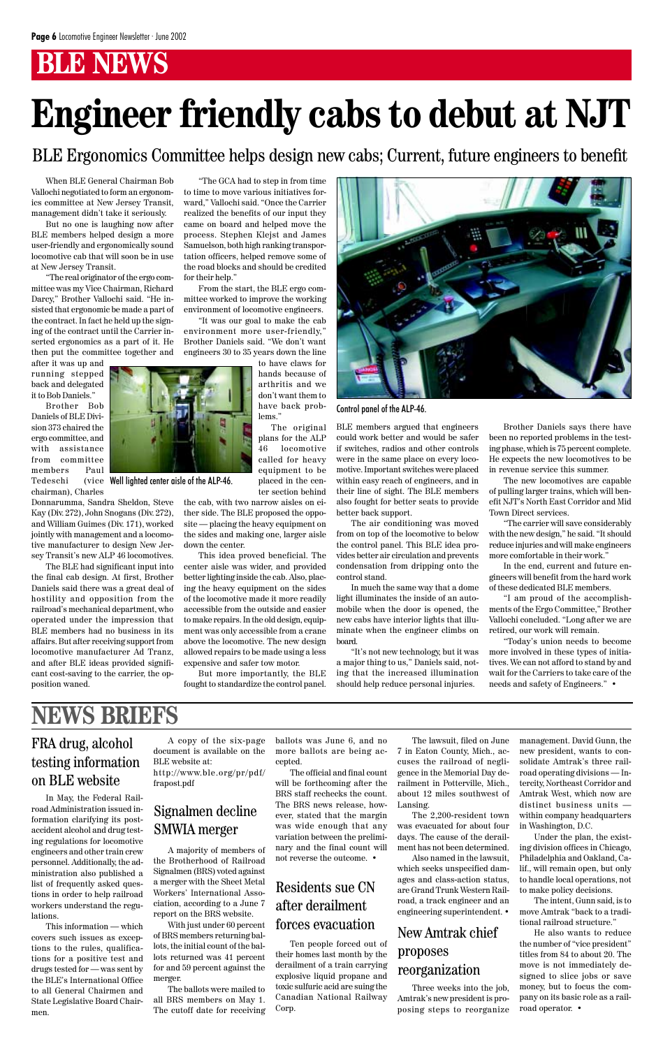When BLE General Chairman Bob Vallochi negotiated to form an ergonomics committee at New Jersey Transit, management didn't take it seriously.

But no one is laughing now after BLE members helped design a more user-friendly and ergonomically sound locomotive cab that will soon be in use at New Jersey Transit.

Brother Bob Daniels of BLE Division 373 chaired the ergo committee, and with assistance from committee members Paul Tedeschi chairman), Charles (vice Well lighted center aisle of the ALP-46.

"The real originator of the ergo committee was my Vice Chairman, Richard Darcy," Brother Vallochi said. "He insisted that ergonomic be made a part of the contract. In fact he held up the signing of the contract until the Carrier inserted ergonomics as a part of it. He then put the committee together and

after it was up and running stepped back and delegated it to Bob Daniels."

Donnarumma, Sandra Sheldon, Steve Kay (Div. 272), John Snogans (Div. 272), and William Guimes (Div. 171), worked jointly with management and a locomotive manufacturer to design New Jersey Transit's new ALP 46 locomotives.

The BLE had significant input into the final cab design. At first, Brother Daniels said there was a great deal of hostility and opposition from the railroad's mechanical department, who operated under the impression that BLE members had no business in its affairs. But after receiving support from locomotive manufacturer Ad Tranz, and after BLE ideas provided significant cost-saving to the carrier, the opposition waned.

"The GCA had to step in from time to time to move various initiatives forward," Vallochi said. "Once the Carrier realized the benefits of our input they came on board and helped move the process. Stephen Klejst and James Samuelson, both high ranking transportation officers, helped remove some of the road blocks and should be credited for their help."

From the start, the BLE ergo committee worked to improve the working environment of locomotive engineers.

"It was our goal to make the cab environment more user-friendly," Brother Daniels said. "We don't want engineers 30 to 35 years down the line

> to have claws for hands because of arthritis and we don't want them to have back problems."

The original plans for the ALP 46 locomotive called for heavy equipment to be placed in the center section behind

the cab, with two narrow aisles on either side. The BLE proposed the opposite — placing the heavy equipment on the sides and making one, larger aisle down the center.

This idea proved beneficial. The center aisle was wider, and provided better lighting inside the cab. Also, placing the heavy equipment on the sides of the locomotive made it more readily accessible from the outside and easier to make repairs. In the old design, equipment was only accessible from a crane above the locomotive. The new design allowed repairs to be made using a less expensive and safer tow motor.

But more importantly, the BLE fought to standardize the control panel. Control panel of the ALP-46.

BLE members argued that engineers could work better and would be safer if switches, radios and other controls were in the same place on every locomotive. Important switches were placed within easy reach of engineers, and in their line of sight. The BLE members also fought for better seats to provide better back support.

The air conditioning was moved from on top of the locomotive to below the control panel. This BLE idea provides better air circulation and prevents condensation from dripping onto the control stand.

In much the same way that a dome light illuminates the inside of an automobile when the door is opened, the new cabs have interior lights that illuminate when the engineer climbs on board.

"It's not new technology, but it was a major thing to us," Daniels said, noting that the increased illumination should help reduce personal injuries.

Brother Daniels says there have been no reported problems in the testing phase, which is 75 percent complete. He expects the new locomotives to be in revenue service this summer.

The new locomotives are capable of pulling larger trains, which will benefit NJT's North East Corridor and Mid Town Direct services.

"The carrier will save considerably with the new design," he said. "It should reduce injuries and will make engineers more comfortable in their work."

In the end, current and future engineers will benefit from the hard work of these dedicated BLE members.

"I am proud of the accomplishments of the Ergo Committee," Brother Vallochi concluded. "Long after we are retired, our work will remain.

"Today's union needs to become more involved in these types of initiatives. We can not afford to stand by and wait for the Carriers to take care of the needs and safety of Engineers." •

# **Engineer friendly cabs to debut at NJT**

BLE Ergonomics Committee helps design new cabs; Current, future engineers to benefit

FRA drug, alcohol testing information

### on BLE website

### **NEWS BRIEFS**

In May, the Federal Railroad Administration issued information clarifying its postaccident alcohol and drug testing regulations for locomotive engineers and other train crew personnel. Additionally, the administration also published a list of frequently asked questions in order to help railroad workers understand the regulations.

This information — which covers such issues as exceptions to the rules, qualifications for a positive test and drugs tested for — was sent by the BLE's International Office to all General Chairmen and State Legislative Board Chairmen.

A copy of the six-page document is available on the BLE website at:

http://www.ble.org/pr/pdf/ frapost.pdf

### Signalmen decline SMWIA merger

A majority of members of the Brotherhood of Railroad Signalmen (BRS) voted against a merger with the Sheet Metal Workers' International Association, according to a June 7 report on the BRS website.

With just under 60 percent of BRS members returning ballots, the initial count of the ballots returned was 41 percent for and 59 percent against the merger.

The ballots were mailed to all BRS members on May 1. The cutoff date for receiving

cepted.

ballots was June 6, and no more ballots are being ac-The official and final count will be forthcoming after the BRS staff rechecks the count. The BRS news release, however, stated that the margin was wide enough that any variation between the preliminary and the final count will not reverse the outcome. •

Ten people forced out of their homes last month by the derailment of a train carrying explosive liquid propane and toxic sulfuric acid are suing the Canadian National Railway Corp.

### Residents sue CN after derailment

forces evacuation

The lawsuit, filed on June 7 in Eaton County, Mich., accuses the railroad of negligence in the Memorial Day derailment in Potterville, Mich., about 12 miles southwest of Lansing. The 2,200-resident town was evacuated for about four days. The cause of the derailment has not been determined.

Also named in the lawsuit, which seeks unspecified damages and class-action status, are Grand Trunk Western Railroad, a track engineer and an engineering superintendent. •

### New Amtrak chief proposes

### reorganization

Three weeks into the job, Amtrak's new president is proposing steps to reorganize management. David Gunn, the new president, wants to consolidate Amtrak's three railroad operating divisions — Intercity, Northeast Corridor and Amtrak West, which now are distinct business units within company headquarters in Washington, D.C.



Under the plan, the existing division offices in Chicago, Philadelphia and Oakland, Calif., will remain open, but only to handle local operations, not to make policy decisions.

The intent, Gunn said, is to move Amtrak "back to a traditional railroad structure."

He also wants to reduce the number of "vice president" titles from 84 to about 20. The move is not immediately designed to slice jobs or save money, but to focus the company on its basic role as a railroad operator. •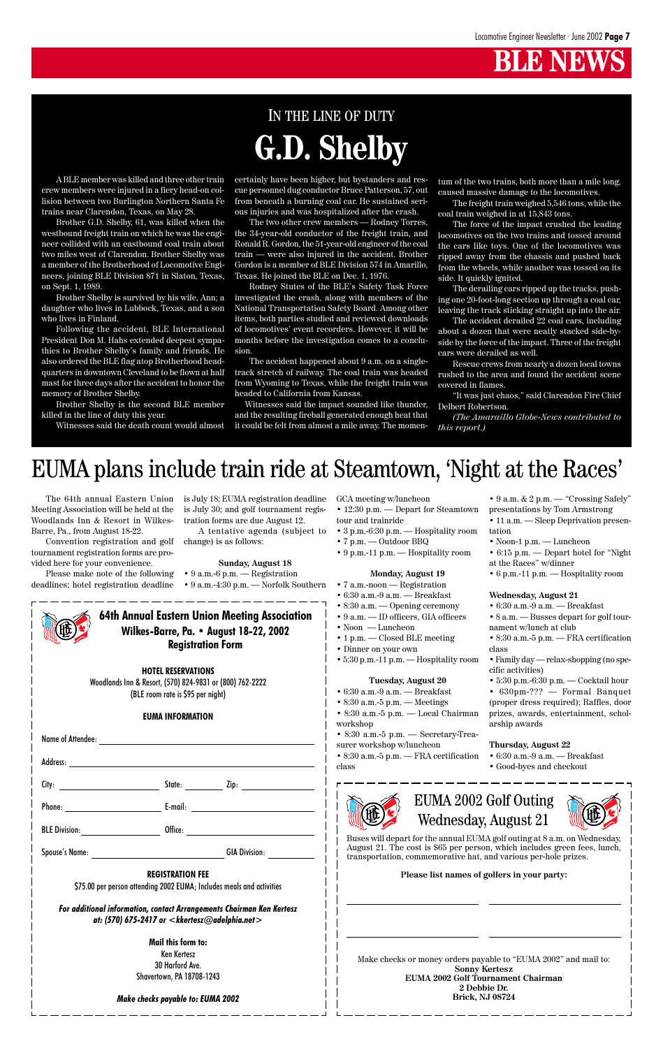#### **HOTEL RESERVATIONS**

| State: Zip:<br>City:                                                                                                                                                                                                                      |                                                                                                                                                                                                                           |
|-------------------------------------------------------------------------------------------------------------------------------------------------------------------------------------------------------------------------------------------|---------------------------------------------------------------------------------------------------------------------------------------------------------------------------------------------------------------------------|
| Phone: and the state of the state of the state of the state of the state of the state of the state of the state of the state of the state of the state of the state of the state of the state of the state of the state of the<br>E-mail: | EUMA 2002 Golf Outing<br><b>Wednesday, August 21</b>                                                                                                                                                                      |
| Office:<br><b>BLE Division:</b><br><b>GIA Division:</b><br><b>Spouse's Name:</b>                                                                                                                                                          | Buses will depart for the annual EUMA golf outing at 8 a.m. on Wednesday,<br>August 21. The cost is \$65 per person, which includes green fees, lunch,<br>transportation, commemorative hat, and various per-hole prizes. |
| <b>REGISTRATION FEE</b><br>\$75.00 per person attending 2002 EUMA; Includes meals and activities<br>For additional information, contact Arrangements Chairman Ken Kertesz                                                                 | Please list names of golfers in your party:                                                                                                                                                                               |
| at: (570) 675-2417 or $\lt$ kkertesz@adelphia.net $>$<br><b>Mail this form to:</b><br>Ken Kertesz                                                                                                                                         |                                                                                                                                                                                                                           |
| 30 Harford Ave.<br><b>Shavertown, PA 18708-1243</b><br>Make checks payable to: EUMA 2002                                                                                                                                                  | Make checks or money orders payable to "EUMA 2002" and mail to:<br><b>Sonny Kertesz</b><br>EUMA 2002 Golf Tournament Chairman<br>2 Debbie Dr.<br><b>Brick, NJ 08724</b>                                                   |
|                                                                                                                                                                                                                                           |                                                                                                                                                                                                                           |

Woodlands Inn & Resort, (570) 824-9831 or (800) 762-2222 (BLE room rate is \$95 per night)

#### **EUMA INFORMATION**

Name of Attendee:

Address:

### **Wilkes-Barre, Pa. • August 18-22, 2002 Registration Form**

**64th Annual Eastern Union Meeting Association**

GCA meeting w/luncheon

- 12:30 p.m. Depart for Steamtown tour and trainride
- 3 p.m.-6:30 p.m. Hospitality room
- 7 p.m. Outdoor BBQ
- 9 p.m.-11 p.m. Hospitality room

#### **Monday, August 19**

- 7 a.m.-noon Registration
- 6:30 a.m.-9 a.m. Breakfast
- 8:30 a.m. Opening ceremony
- 9 a.m. ID officers, GIA officers
- Noon Luncheon
- 1 p.m. Closed BLE meeting
- Dinner on your own
- 5:30 p.m.-11 p.m. Hospitality room

#### **Tuesday, August 20**

- 6:30 a.m.-9 a.m. Breakfast
- 8:30 a.m.-5 p.m. Meetings
- 8:30 a.m.-5 p.m. Local Chairman workshop
- 8:30 a.m.-5 p.m. Secretary-Treasurer workshop w/luncheon
- 8:30 a.m.-5 p.m. FRA certification class

• 9 a.m. & 2 p.m. — "Crossing Safely"

- presentations by Tom Armstrong • 11 a.m. — Sleep Deprivation presen
	- tation
- Noon-1 p.m. Luncheon
- 6:15 p.m. Depart hotel for "Night at the Races" w/dinner
- 6 p.m.-11 p.m. Hospitality room

#### **Wednesday, August 21**

- 6:30 a.m.-9 a.m. Breakfast
- 8 a.m. Busses depart for golf tournament w/lunch at club
- 8:30 a.m.-5 p.m. FRA certification class
- Family day relax-shopping (no specific activities)
- 5:30 p.m.-6:30 p.m. Cocktail hour
- 630pm-??? Formal Banquet (proper dress required); Raffles, door prizes, awards, entertainment, scholarship awards

#### **Thursday, August 22**

- 6:30 a.m.-9 a.m. Breakfast
- Good-byes and checkout
	-

The 64th annual Eastern Union Meeting Association will be held at the Woodlands Inn & Resort in Wilkes-Barre, Pa., from August 18-22.

Convention registration and golf tournament registration forms are provided here for your convenience.

Please make note of the following deadlines; hotel registration deadline is July 18; EUMA registration deadline is July 30; and golf tournament registration forms are due August 12.

A tentative agenda (subject to change) is as follows:

**Sunday, August 18**

- 
- 

• 9 a.m.-6 p.m. — Registration • 9 a.m.-4:30 p.m. — Norfolk Southern

### EUMA plans include train ride at Steamtown, 'Night at the Races'

# IN THE LINE OF DUTY **G.D. Shelby**

A BLE member was killed and three other train crew members were injured in a fiery head-on collision between two Burlington Northern Santa Fe trains near Clarendon, Texas, on May 28.

Brother G.D. Shelby, 61, was killed when the westbound freight train on which he was the engineer collided with an eastbound coal train about two miles west of Clarendon. Brother Shelby was a member of the Brotherhood of Locomotive Engineers, joining BLE Division 871 in Slaton, Texas, on Sept. 1, 1989.

Brother Shelby is survived by his wife, Ann; a daughter who lives in Lubbock, Texas, and a son who lives in Finland.

Following the accident, BLE International President Don M. Hahs extended deepest sympathies to Brother Shelby's family and friends. He also ordered the BLE flag atop Brotherhood headquarters in downtown Cleveland to be flown at half mast for three days after the accident to honor the memory of Brother Shelby.

Brother Shelby is the second BLE member killed in the line of duty this year.

Witnesses said the death count would almost

certainly have been higher, but bystanders and rescue personnel dug conductor Bruce Patterson, 57, out from beneath a burning coal car. He sustained serious injuries and was hospitalized after the crash.

The two other crew members — Rodney Torres, the 34-year-old conductor of the freight train, and Ronald R. Gordon, the 51-year-old engineer of the coal train — were also injured in the accident. Brother Gordon is a member of BLE Division 574 in Amarillo, Texas. He joined the BLE on Dec. 1, 1976.

Rodney Stutes of the BLE's Safety Task Force investigated the crash, along with members of the National Transportation Safety Board. Among other items, both parties studied and reviewed downloads of locomotives' event recorders. However, it will be months before the investigation comes to a conclusion.

The accident happened about 9 a.m. on a singletrack stretch of railway. The coal train was headed from Wyoming to Texas, while the freight train was headed to California from Kansas.

 Witnesses said the impact sounded like thunder, and the resulting fireball generated enough heat that it could be felt from almost a mile away. The momentum of the two trains, both more than a mile long, caused massive damage to the locomotives.

The freight train weighed 5,546 tons, while the coal train weighed in at 15,843 tons.

The force of the impact crushed the leading locomotives on the two trains and tossed around the cars like toys. One of the locomotives was ripped away from the chassis and pushed back from the wheels, while another was tossed on its side. It quickly ignited.

The derailing cars ripped up the tracks, pushing one 20-foot-long section up through a coal car, leaving the track sticking straight up into the air.

The accident derailed 22 coal cars, including about a dozen that were neatly stacked side-byside by the force of the impact. Three of the freight cars were derailed as well.

Rescue crews from nearly a dozen local towns rushed to the area and found the accident scene covered in flames.

"It was just chaos," said Clarendon Fire Chief Delbert Robertson.

*(The Amaraillo Globe-News contributed to this report.)*